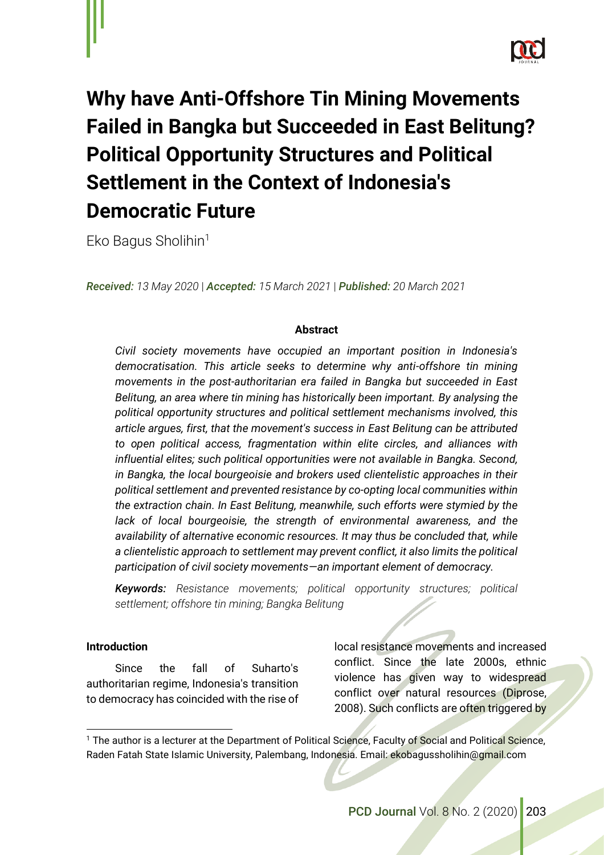

# **Why have Anti-Offshore Tin Mining Movements Failed in Bangka but Succeeded in East Belitung? Political Opportunity Structures and Political Settlement in the Context of Indonesia's Democratic Future**

Eko Bagus Sholihin<sup>1</sup>

*Received: 13 May 2020* | *Accepted: 15 March 2021* | *Published: 20 March 2021* 

## **Abstract**

*Civil society movements have occupied an important position in Indonesia's democratisation. This article seeks to determine why anti-offshore tin mining movements in the post-authoritarian era failed in Bangka but succeeded in East Belitung, an area where tin mining has historically been important. By analysing the political opportunity structures and political settlement mechanisms involved, this article argues, first, that the movement's success in East Belitung can be attributed to open political access, fragmentation within elite circles, and alliances with influential elites; such political opportunities were not available in Bangka. Second, in Bangka, the local bourgeoisie and brokers used clientelistic approaches in their political settlement and prevented resistance by co-opting local communities within the extraction chain. In East Belitung, meanwhile, such efforts were stymied by the*  lack of local bourgeoisie, the strength of environmental awareness, and the *availability of alternative economic resources. It may thus be concluded that, while a clientelistic approach to settlement may prevent conflict, it also limits the political participation of civil society movements—an important element of democracy.* 

*Keywords: Resistance movements; political opportunity structures; political settlement; offshore tin mining; Bangka Belitung*

#### **Introduction**

Since the fall of Suharto's authoritarian regime, Indonesia's transition to democracy has coincided with the rise of local resistance movements and increased conflict. Since the late 2000s, ethnic violence has given way to widespread conflict over natural resources (Diprose, 2008). Such conflicts are often triggered by

<sup>&</sup>lt;sup>1</sup> The author is a lecturer at the Department of Political Science, Faculty of Social and Political Science, Raden Fatah State Islamic University, Palembang, Indonesia. Email[: ekobagussholihin@gmail.com](mailto:ekobagussholihin@gmail.com)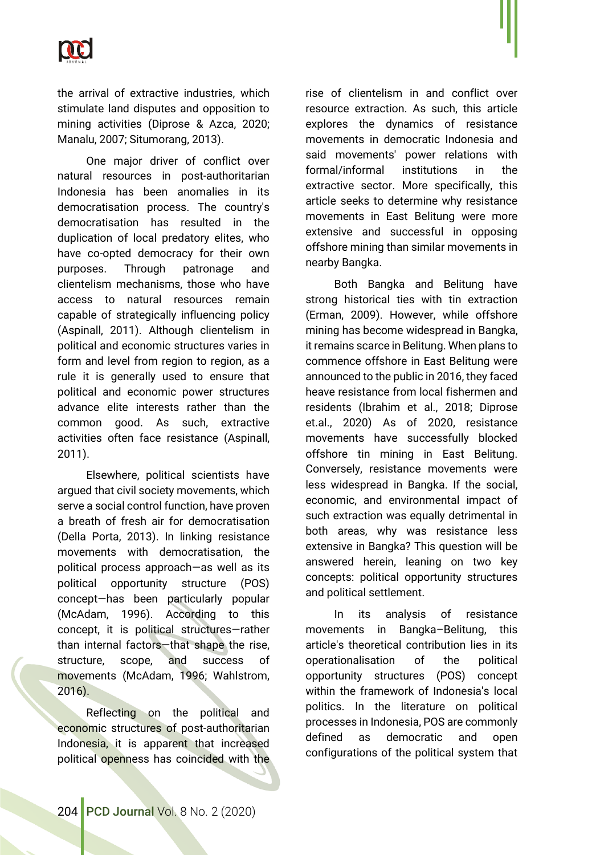

the arrival of extractive industries, which stimulate land disputes and opposition to mining activities (Diprose & Azca, 2020; Manalu, 2007; Situmorang, 2013).

One major driver of conflict over natural resources in post-authoritarian Indonesia has been anomalies in its democratisation process. The country's democratisation has resulted in the duplication of local predatory elites, who have co-opted democracy for their own purposes. Through patronage and clientelism mechanisms, those who have access to natural resources remain capable of strategically influencing policy (Aspinall, 2011). Although clientelism in political and economic structures varies in form and level from region to region, as a rule it is generally used to ensure that political and economic power structures advance elite interests rather than the common good. As such, extractive activities often face resistance (Aspinall, 2011).

Elsewhere, political scientists have argued that civil society movements, which serve a social control function, have proven a breath of fresh air for democratisation (Della Porta, 2013). In linking resistance movements with democratisation, the political process approach—as well as its political opportunity structure (POS) concept—has been particularly popular (McAdam, 1996). According to this concept, it is political structures—rather than internal factors—that shape the rise, structure, scope, and success of movements (McAdam, 1996; Wahlstrom, 2016).

Reflecting on the political and economic structures of post-authoritarian Indonesia, it is apparent that increased political openness has coincided with the rise of clientelism in and conflict over resource extraction. As such, this article explores the dynamics of resistance movements in democratic Indonesia and said movements' power relations with formal/informal institutions in the extractive sector. More specifically, this article seeks to determine why resistance movements in East Belitung were more extensive and successful in opposing offshore mining than similar movements in nearby Bangka.

Both Bangka and Belitung have strong historical ties with tin extraction (Erman, 2009). However, while offshore mining has become widespread in Bangka, it remains scarce in Belitung. When plans to commence offshore in East Belitung were announced to the public in 2016, they faced heave resistance from local fishermen and residents (Ibrahim et al., 2018; Diprose et.al., 2020) As of 2020, resistance movements have successfully blocked offshore tin mining in East Belitung. Conversely, resistance movements were less widespread in Bangka. If the social, economic, and environmental impact of such extraction was equally detrimental in both areas, why was resistance less extensive in Bangka? This question will be answered herein, leaning on two key concepts: political opportunity structures and political settlement.

In its analysis of resistance movements in Bangka–Belitung, this article's theoretical contribution lies in its operationalisation of the political opportunity structures (POS) concept within the framework of Indonesia's local politics. In the literature on political processes in Indonesia, POS are commonly defined as democratic and open configurations of the political system that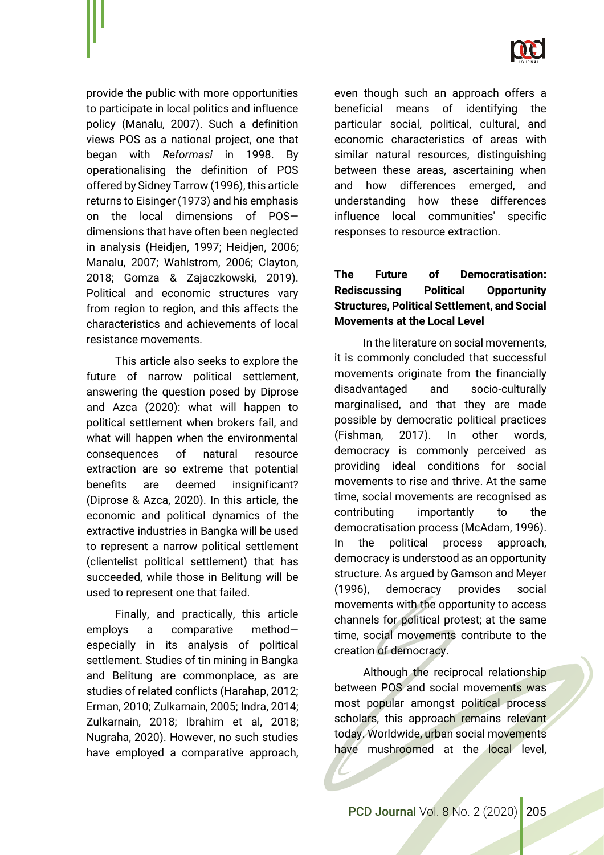

provide the public with more opportunities to participate in local politics and influence policy (Manalu, 2007). Such a definition views POS as a national project, one that began with *Reformasi* in 1998. By operationalising the definition of POS offered by Sidney Tarrow (1996), this article returns to Eisinger (1973) and his emphasis on the local dimensions of POS dimensions that have often been neglected in analysis (Heidjen, 1997; Heidjen, 2006; Manalu, 2007; Wahlstrom, 2006; Clayton, 2018; Gomza & Zajaczkowski, 2019). Political and economic structures vary from region to region, and this affects the characteristics and achievements of local resistance movements.

This article also seeks to explore the future of narrow political settlement, answering the question posed by Diprose and Azca (2020): what will happen to political settlement when brokers fail, and what will happen when the environmental consequences of natural resource extraction are so extreme that potential benefits are deemed insignificant? (Diprose & Azca, 2020). In this article, the economic and political dynamics of the extractive industries in Bangka will be used to represent a narrow political settlement (clientelist political settlement) that has succeeded, while those in Belitung will be used to represent one that failed.

Finally, and practically, this article employs a comparative method especially in its analysis of political settlement. Studies of tin mining in Bangka and Belitung are commonplace, as are studies of related conflicts (Harahap, 2012; Erman, 2010; Zulkarnain, 2005; Indra, 2014; Zulkarnain, 2018; Ibrahim et al, 2018; Nugraha, 2020). However, no such studies have employed a comparative approach,

even though such an approach offers a beneficial means of identifying the particular social, political, cultural, and economic characteristics of areas with similar natural resources, distinguishing between these areas, ascertaining when and how differences emerged, and understanding how these differences influence local communities' specific responses to resource extraction.

# **The Future of Democratisation: Rediscussing Political Opportunity Structures, Political Settlement, and Social Movements at the Local Level**

In the literature on social movements, it is commonly concluded that successful movements originate from the financially disadvantaged and socio-culturally marginalised, and that they are made possible by democratic political practices (Fishman, 2017). In other words, democracy is commonly perceived as providing ideal conditions for social movements to rise and thrive. At the same time, social movements are recognised as contributing importantly to the democratisation process (McAdam, 1996). In the political process approach, democracy is understood as an opportunity structure. As argued by Gamson and Meyer (1996), democracy provides social movements with the opportunity to access channels for political protest; at the same time, social movements contribute to the creation of democracy.

Although the reciprocal relationship between POS and social movements was most popular amongst political process scholars, this approach remains relevant today. Worldwide, urban social movements have mushroomed at the local level,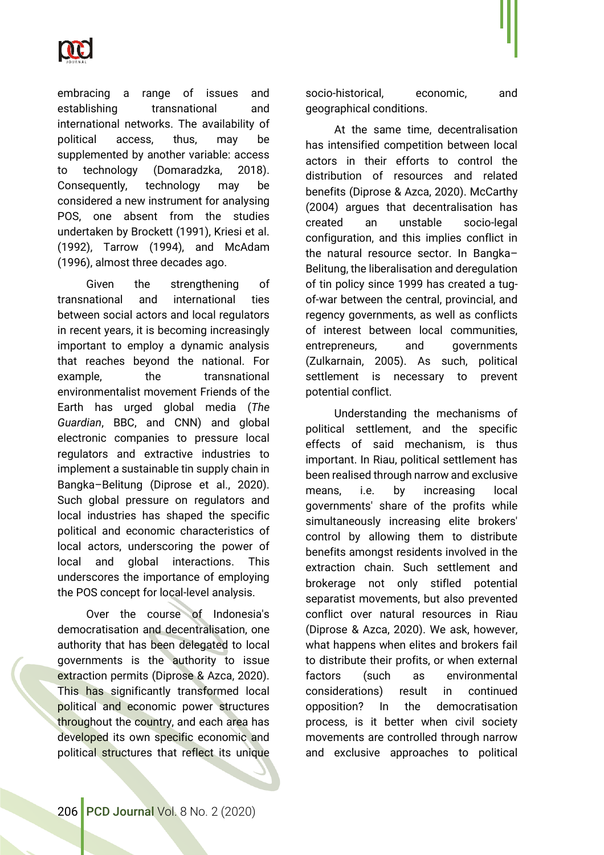

embracing a range of issues and establishing transnational and international networks. The availability of political access, thus, may be supplemented by another variable: access to technology (Domaradzka, 2018). Consequently, technology may be considered a new instrument for analysing POS, one absent from the studies undertaken by Brockett (1991), Kriesi et al. (1992), Tarrow (1994), and McAdam (1996), almost three decades ago.

Given the strengthening of transnational and international ties between social actors and local regulators in recent years, it is becoming increasingly important to employ a dynamic analysis that reaches beyond the national. For example, the transnational environmentalist movement Friends of the Earth has urged global media (*The Guardian*, BBC, and CNN) and global electronic companies to pressure local regulators and extractive industries to implement a sustainable tin supply chain in Bangka–Belitung (Diprose et al., 2020). Such global pressure on regulators and local industries has shaped the specific political and economic characteristics of local actors, underscoring the power of local and global interactions. This underscores the importance of employing the POS concept for local-level analysis.

Over the course of Indonesia's democratisation and decentralisation, one authority that has been delegated to local governments is the authority to issue extraction permits (Diprose & Azca, 2020). This has significantly transformed local political and economic power structures throughout the country, and each area has developed its own specific economic and political structures that reflect its unique

socio-historical, economic, and geographical conditions.

At the same time, decentralisation has intensified competition between local actors in their efforts to control the distribution of resources and related benefits (Diprose & Azca, 2020). McCarthy (2004) argues that decentralisation has created an unstable socio-legal configuration, and this implies conflict in the natural resource sector. In Bangka– Belitung, the liberalisation and deregulation of tin policy since 1999 has created a tugof-war between the central, provincial, and regency governments, as well as conflicts of interest between local communities, entrepreneurs, and governments (Zulkarnain, 2005). As such, political settlement is necessary to prevent potential conflict.

Understanding the mechanisms of political settlement, and the specific effects of said mechanism, is thus important. In Riau, political settlement has been realised through narrow and exclusive means, i.e. by increasing local governments' share of the profits while simultaneously increasing elite brokers' control by allowing them to distribute benefits amongst residents involved in the extraction chain. Such settlement and brokerage not only stifled potential separatist movements, but also prevented conflict over natural resources in Riau (Diprose & Azca, 2020). We ask, however, what happens when elites and brokers fail to distribute their profits, or when external factors (such as environmental considerations) result in continued opposition? In the democratisation process, is it better when civil society movements are controlled through narrow and exclusive approaches to political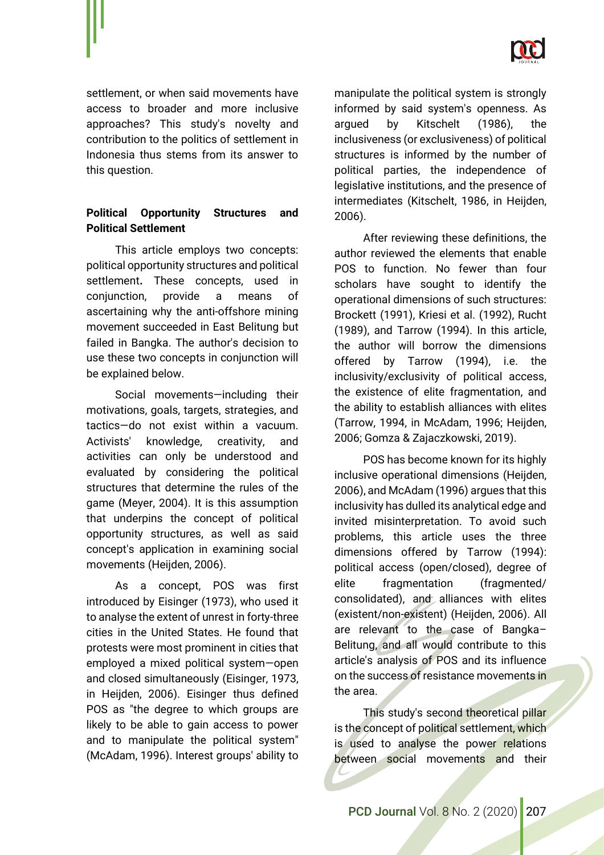

settlement, or when said movements have access to broader and more inclusive approaches? This study's novelty and contribution to the politics of settlement in Indonesia thus stems from its answer to this question.

# **Political Opportunity Structures and Political Settlement**

This article employs two concepts: political opportunity structures and political settlement**.** These concepts, used in conjunction, provide a means of ascertaining why the anti-offshore mining movement succeeded in East Belitung but failed in Bangka. The author's decision to use these two concepts in conjunction will be explained below.

Social movements—including their motivations, goals, targets, strategies, and tactics—do not exist within a vacuum. Activists' knowledge, creativity, and activities can only be understood and evaluated by considering the political structures that determine the rules of the game (Meyer, 2004). It is this assumption that underpins the concept of political opportunity structures, as well as said concept's application in examining social movements (Heijden, 2006).

As a concept, POS was first introduced by Eisinger (1973), who used it to analyse the extent of unrest in forty-three cities in the United States. He found that protests were most prominent in cities that employed a mixed political system—open and closed simultaneously (Eisinger, 1973, in Heijden, 2006). Eisinger thus defined POS as "the degree to which groups are likely to be able to gain access to power and to manipulate the political system" (McAdam, 1996). Interest groups' ability to manipulate the political system is strongly informed by said system's openness. As argued by Kitschelt (1986), the inclusiveness (or exclusiveness) of political structures is informed by the number of political parties, the independence of legislative institutions, and the presence of intermediates (Kitschelt, 1986, in Heijden, 2006).

After reviewing these definitions, the author reviewed the elements that enable POS to function. No fewer than four scholars have sought to identify the operational dimensions of such structures: Brockett (1991), Kriesi et al. (1992), Rucht (1989), and Tarrow (1994). In this article, the author will borrow the dimensions offered by Tarrow (1994), i.e. the inclusivity/exclusivity of political access, the existence of elite fragmentation, and the ability to establish alliances with elites (Tarrow, 1994, in McAdam, 1996; Heijden, 2006; Gomza & Zajaczkowski, 2019).

POS has become known for its highly inclusive operational dimensions (Heijden, 2006), and McAdam (1996) argues that this inclusivity has dulled its analytical edge and invited misinterpretation. To avoid such problems, this article uses the three dimensions offered by Tarrow (1994): political access (open/closed), degree of elite fragmentation (fragmented/ consolidated), and alliances with elites (existent/non-existent) (Heijden, 2006). All are relevant to the case of Bangka– Belitung, and all would contribute to this article's analysis of POS and its influence on the success of resistance movements in the area.

This study's second theoretical pillar is the concept of political settlement, which is used to analyse the power relations between social movements and their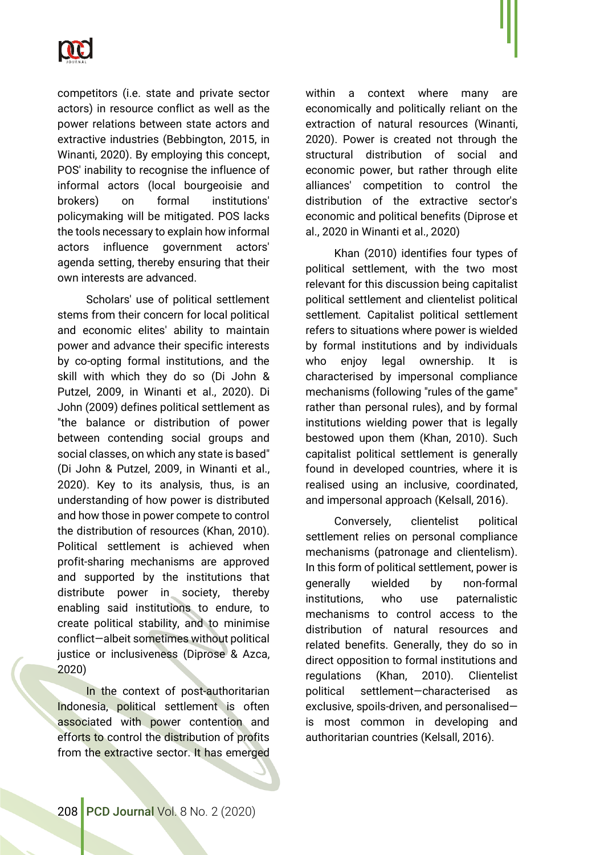

competitors (i.e. state and private sector actors) in resource conflict as well as the power relations between state actors and extractive industries (Bebbington, 2015, in Winanti, 2020). By employing this concept, POS' inability to recognise the influence of informal actors (local bourgeoisie and brokers) on formal institutions' policymaking will be mitigated. POS lacks the tools necessary to explain how informal actors influence government actors' agenda setting, thereby ensuring that their own interests are advanced.

Scholars' use of political settlement stems from their concern for local political and economic elites' ability to maintain power and advance their specific interests by co-opting formal institutions, and the skill with which they do so (Di John & Putzel, 2009, in Winanti et al., 2020). Di John (2009) defines political settlement as "the balance or distribution of power between contending social groups and social classes, on which any state is based" (Di John & Putzel, 2009, in Winanti et al., 2020). Key to its analysis, thus, is an understanding of how power is distributed and how those in power compete to control the distribution of resources (Khan, 2010). Political settlement is achieved when profit-sharing mechanisms are approved and supported by the institutions that distribute power in society, thereby enabling said institutions to endure, to create political stability, and to minimise conflict—albeit sometimes without political justice or inclusiveness (Diprose & Azca, 2020)

In the context of post-authoritarian Indonesia, political settlement is often associated with power contention and efforts to control the distribution of profits from the extractive sector. It has emerged

within a context where many are economically and politically reliant on the extraction of natural resources (Winanti, 2020). Power is created not through the structural distribution of social and economic power, but rather through elite alliances' competition to control the distribution of the extractive sector's economic and political benefits (Diprose et al., 2020 in Winanti et al., 2020)

Khan (2010) identifies four types of political settlement, with the two most relevant for this discussion being capitalist political settlement and clientelist political settlement*.* Capitalist political settlement refers to situations where power is wielded by formal institutions and by individuals who enjoy legal ownership. It is characterised by impersonal compliance mechanisms (following "rules of the game" rather than personal rules), and by formal institutions wielding power that is legally bestowed upon them (Khan, 2010). Such capitalist political settlement is generally found in developed countries, where it is realised using an inclusive, coordinated, and impersonal approach (Kelsall, 2016).

Conversely, clientelist political settlement relies on personal compliance mechanisms (patronage and clientelism). In this form of political settlement, power is generally wielded by non-formal institutions, who use paternalistic mechanisms to control access to the distribution of natural resources and related benefits. Generally, they do so in direct opposition to formal institutions and regulations (Khan, 2010). Clientelist political settlement—characterised as exclusive, spoils-driven, and personalised is most common in developing and authoritarian countries (Kelsall, 2016).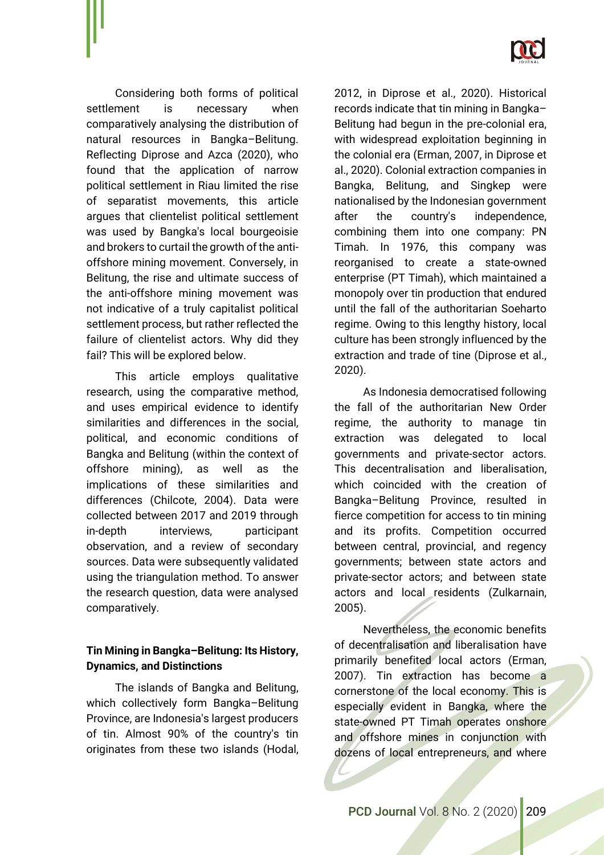

Considering both forms of political settlement is necessary when comparatively analysing the distribution of natural resources in Bangka–Belitung. Reflecting Diprose and Azca (2020), who found that the application of narrow political settlement in Riau limited the rise of separatist movements, this article argues that clientelist political settlement was used by Bangka's local bourgeoisie and brokers to curtail the growth of the antioffshore mining movement. Conversely, in Belitung, the rise and ultimate success of the anti-offshore mining movement was not indicative of a truly capitalist political settlement process, but rather reflected the failure of clientelist actors. Why did they fail? This will be explored below.

This article employs qualitative research, using the comparative method, and uses empirical evidence to identify similarities and differences in the social, political, and economic conditions of Bangka and Belitung (within the context of offshore mining), as well as the implications of these similarities and differences (Chilcote, 2004). Data were collected between 2017 and 2019 through in-depth interviews, participant observation, and a review of secondary sources. Data were subsequently validated using the triangulation method. To answer the research question, data were analysed comparatively.

# **Tin Mining in Bangka–Belitung: Its History, Dynamics, and Distinctions**

The islands of Bangka and Belitung, which collectively form Bangka–Belitung Province, are Indonesia's largest producers of tin. Almost 90% of the country's tin originates from these two islands (Hodal,

2012, in Diprose et al., 2020). Historical records indicate that tin mining in Bangka– Belitung had begun in the pre-colonial era, with widespread exploitation beginning in the colonial era (Erman, 2007, in Diprose et al., 2020). Colonial extraction companies in Bangka, Belitung, and Singkep were nationalised by the Indonesian government after the country's independence, combining them into one company: PN Timah. In 1976, this company was reorganised to create a state-owned enterprise (PT Timah), which maintained a monopoly over tin production that endured until the fall of the authoritarian Soeharto regime. Owing to this lengthy history, local culture has been strongly influenced by the extraction and trade of tine (Diprose et al., 2020).

As Indonesia democratised following the fall of the authoritarian New Order regime, the authority to manage tin extraction was delegated to local governments and private-sector actors. This decentralisation and liberalisation, which coincided with the creation of Bangka–Belitung Province, resulted in fierce competition for access to tin mining and its profits. Competition occurred between central, provincial, and regency governments; between state actors and private-sector actors; and between state actors and local residents (Zulkarnain, 2005).

Nevertheless, the economic benefits of decentralisation and liberalisation have primarily benefited local actors (Erman, 2007). Tin extraction has become a cornerstone of the local economy. This is especially evident in Bangka, where the state-owned PT Timah operates onshore and offshore mines in conjunction with dozens of local entrepreneurs, and where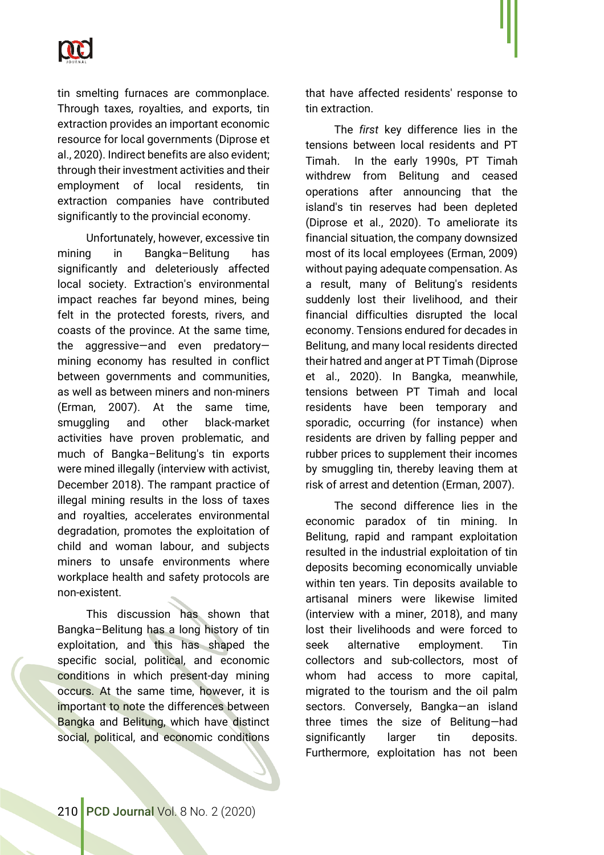

tin smelting furnaces are commonplace. Through taxes, royalties, and exports, tin extraction provides an important economic resource for local governments (Diprose et al., 2020). Indirect benefits are also evident; through their investment activities and their employment of local residents, tin extraction companies have contributed significantly to the provincial economy.

Unfortunately, however, excessive tin mining in Bangka–Belitung has significantly and deleteriously affected local society. Extraction's environmental impact reaches far beyond mines, being felt in the protected forests, rivers, and coasts of the province. At the same time, the aggressive—and even predatory mining economy has resulted in conflict between governments and communities, as well as between miners and non-miners (Erman, 2007). At the same time, smuggling and other black-market activities have proven problematic, and much of Bangka–Belitung's tin exports were mined illegally (interview with activist, December 2018). The rampant practice of illegal mining results in the loss of taxes and royalties, accelerates environmental degradation, promotes the exploitation of child and woman labour, and subjects miners to unsafe environments where workplace health and safety protocols are non-existent.

This discussion has shown that Bangka–Belitung has a long history of tin exploitation, and this has shaped the specific social, political, and economic conditions in which present-day mining occurs. At the same time, however, it is important to note the differences between Bangka and Belitung, which have distinct social, political, and economic conditions

that have affected residents' response to tin extraction.

The *first* key difference lies in the tensions between local residents and PT Timah. In the early 1990s, PT Timah withdrew from Belitung and ceased operations after announcing that the island's tin reserves had been depleted (Diprose et al., 2020). To ameliorate its financial situation, the company downsized most of its local employees (Erman, 2009) without paying adequate compensation. As a result, many of Belitung's residents suddenly lost their livelihood, and their financial difficulties disrupted the local economy. Tensions endured for decades in Belitung, and many local residents directed their hatred and anger at PT Timah (Diprose et al., 2020). In Bangka, meanwhile, tensions between PT Timah and local residents have been temporary and sporadic, occurring (for instance) when residents are driven by falling pepper and rubber prices to supplement their incomes by smuggling tin, thereby leaving them at risk of arrest and detention (Erman, 2007).

The second difference lies in the economic paradox of tin mining. In Belitung, rapid and rampant exploitation resulted in the industrial exploitation of tin deposits becoming economically unviable within ten years. Tin deposits available to artisanal miners were likewise limited (interview with a miner, 2018), and many lost their livelihoods and were forced to seek alternative employment. Tin collectors and sub-collectors, most of whom had access to more capital, migrated to the tourism and the oil palm sectors. Conversely, Bangka-an island three times the size of Belitung—had significantly larger tin deposits. Furthermore, exploitation has not been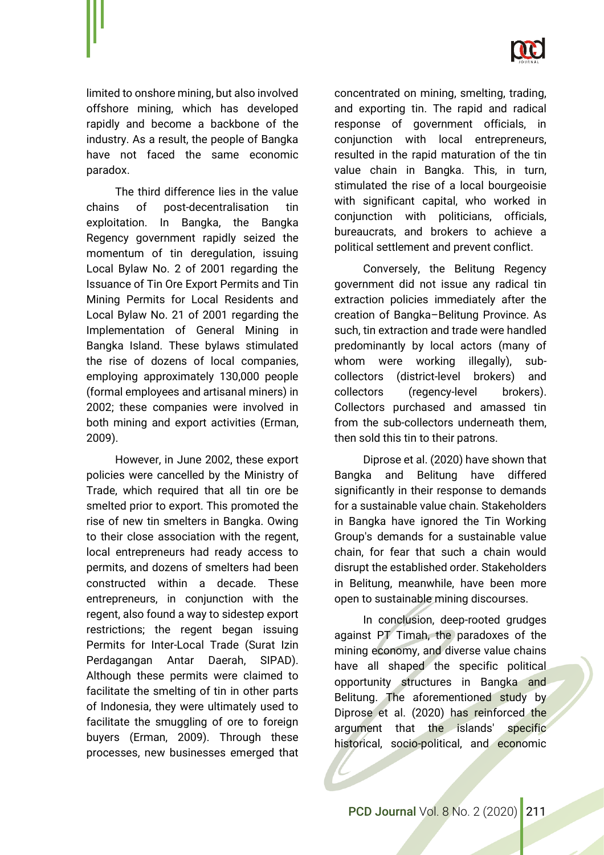

limited to onshore mining, but also involved offshore mining, which has developed rapidly and become a backbone of the industry. As a result, the people of Bangka have not faced the same economic paradox.

The third difference lies in the value chains of post-decentralisation tin exploitation. In Bangka, the Bangka Regency government rapidly seized the momentum of tin deregulation, issuing Local Bylaw No. 2 of 2001 regarding the Issuance of Tin Ore Export Permits and Tin Mining Permits for Local Residents and Local Bylaw No. 21 of 2001 regarding the Implementation of General Mining in Bangka Island. These bylaws stimulated the rise of dozens of local companies, employing approximately 130,000 people (formal employees and artisanal miners) in 2002; these companies were involved in both mining and export activities (Erman, 2009).

However, in June 2002, these export policies were cancelled by the Ministry of Trade, which required that all tin ore be smelted prior to export. This promoted the rise of new tin smelters in Bangka. Owing to their close association with the regent, local entrepreneurs had ready access to permits, and dozens of smelters had been constructed within a decade. These entrepreneurs, in conjunction with the regent, also found a way to sidestep export restrictions; the regent began issuing Permits for Inter-Local Trade (Surat Izin Perdagangan Antar Daerah, SIPAD). Although these permits were claimed to facilitate the smelting of tin in other parts of Indonesia, they were ultimately used to facilitate the smuggling of ore to foreign buyers (Erman, 2009). Through these processes, new businesses emerged that

concentrated on mining, smelting, trading, and exporting tin. The rapid and radical response of government officials, in conjunction with local entrepreneurs, resulted in the rapid maturation of the tin value chain in Bangka. This, in turn, stimulated the rise of a local bourgeoisie with significant capital, who worked in conjunction with politicians, officials, bureaucrats, and brokers to achieve a political settlement and prevent conflict.

Conversely, the Belitung Regency government did not issue any radical tin extraction policies immediately after the creation of Bangka–Belitung Province. As such, tin extraction and trade were handled predominantly by local actors (many of whom were working illegally), subcollectors (district-level brokers) and collectors (regency-level brokers). Collectors purchased and amassed tin from the sub-collectors underneath them, then sold this tin to their patrons.

Diprose et al. (2020) have shown that Bangka and Belitung have differed significantly in their response to demands for a sustainable value chain. Stakeholders in Bangka have ignored the Tin Working Group's demands for a sustainable value chain, for fear that such a chain would disrupt the established order. Stakeholders in Belitung, meanwhile, have been more open to sustainable mining discourses.

In conclusion, deep-rooted grudges against PT Timah, the paradoxes of the mining economy, and diverse value chains have all shaped the specific political opportunity structures in Bangka and Belitung. The aforementioned study by Diprose et al. (2020) has reinforced the argument that the islands' specific historical, socio-political, and economic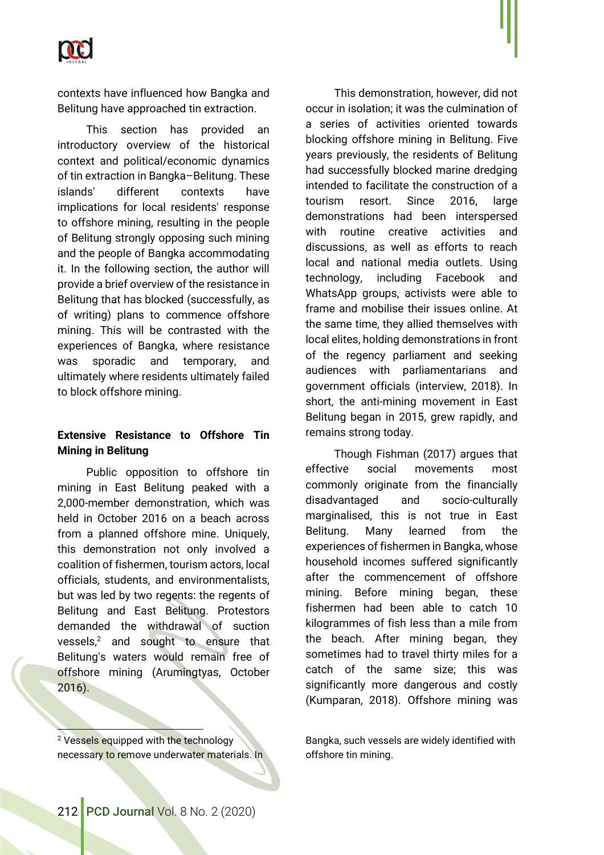

contexts have influenced how Bangka and Belitung have approached tin extraction.

This section has provided an introductory overview of the historical context and political/economic dynamics of tin extraction in Bangka–Belitung. These islands' different contexts have implications for local residents' response to offshore mining, resulting in the people of Belitung strongly opposing such mining and the people of Bangka accommodating it. In the following section, the author will provide a brief overview of the resistance in Belitung that has blocked (successfully, as of writing) plans to commence offshore mining. This will be contrasted with the experiences of Bangka, where resistance was sporadic and temporary, and ultimately where residents ultimately failed to block offshore mining.

## **Extensive Resistance to Offshore Tin Mining in Belitung**

Public opposition to offshore tin mining in East Belitung peaked with a 2,000-member demonstration, which was held in October 2016 on a beach across from a planned offshore mine. Uniquely, this demonstration not only involved a coalition of fishermen, tourism actors, local officials, students, and environmentalists, but was led by two regents: the regents of Belitung and East Belitung. Protestors demanded the withdrawal of suction vessels, $2$  and sought to ensure that Belitung's waters would remain free of offshore mining (Arumingtyas, October 2016).

This demonstration, however, did not occur in isolation; it was the culmination of a series of activities oriented towards blocking offshore mining in Belitung. Five years previously, the residents of Belitung had successfully blocked marine dredging intended to facilitate the construction of a tourism resort. Since 2016, large demonstrations had been interspersed with routine creative activities and discussions, as well as efforts to reach local and national media outlets. Using technology, including Facebook and WhatsApp groups, activists were able to frame and mobilise their issues online. At the same time, they allied themselves with local elites, holding demonstrations in front of the regency parliament and seeking audiences with parliamentarians and government officials (interview, 2018). In short, the anti-mining movement in East Belitung began in 2015, grew rapidly, and remains strong today.

Though Fishman (2017) argues that effective social movements most commonly originate from the financially disadvantaged and socio-culturally marginalised, this is not true in East Belitung. Many learned from the experiences of fishermen in Bangka, whose household incomes suffered significantly after the commencement of offshore mining. Before mining began, these fishermen had been able to catch 10 kilogrammes of fish less than a mile from the beach. After mining began, they sometimes had to travel thirty miles for a catch of the same size; this was significantly more dangerous and costly (Kumparan, 2018). Offshore mining was

<sup>2</sup> Vessels equipped with the technology necessary to remove underwater materials. In Bangka, such vessels are widely identified with offshore tin mining.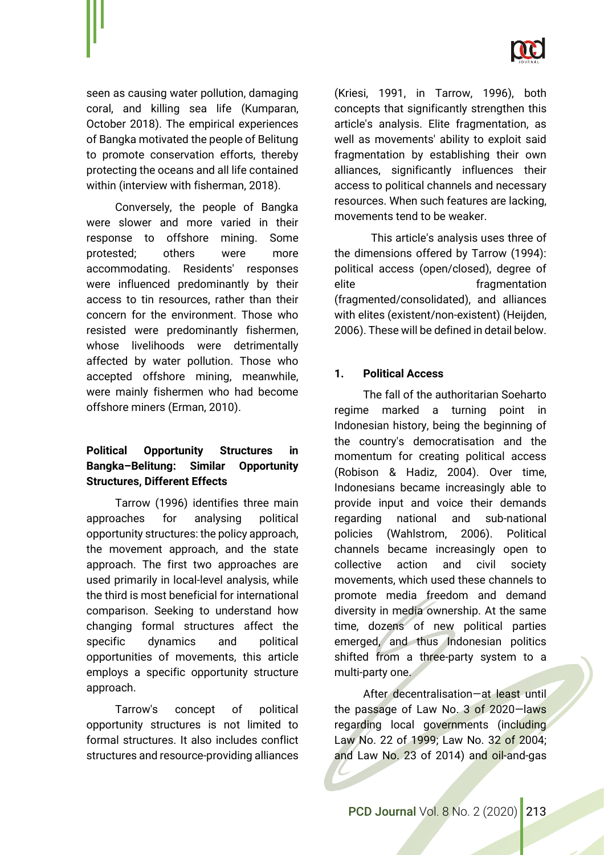

seen as causing water pollution, damaging coral, and killing sea life (Kumparan, October 2018). The empirical experiences of Bangka motivated the people of Belitung to promote conservation efforts, thereby protecting the oceans and all life contained within (interview with fisherman, 2018).

Conversely, the people of Bangka were slower and more varied in their response to offshore mining. Some protested; others were more accommodating. Residents' responses were influenced predominantly by their access to tin resources, rather than their concern for the environment. Those who resisted were predominantly fishermen, whose livelihoods were detrimentally affected by water pollution. Those who accepted offshore mining, meanwhile, were mainly fishermen who had become offshore miners (Erman, 2010).

# **Political Opportunity Structures in Bangka–Belitung: Similar Opportunity Structures, Different Effects**

Tarrow (1996) identifies three main approaches for analysing political opportunity structures: the policy approach, the movement approach, and the state approach. The first two approaches are used primarily in local-level analysis, while the third is most beneficial for international comparison. Seeking to understand how changing formal structures affect the specific dynamics and political opportunities of movements, this article employs a specific opportunity structure approach.

Tarrow's concept of political opportunity structures is not limited to formal structures. It also includes conflict structures and resource-providing alliances (Kriesi, 1991, in Tarrow, 1996), both concepts that significantly strengthen this article's analysis. Elite fragmentation, as well as movements' ability to exploit said fragmentation by establishing their own alliances, significantly influences their access to political channels and necessary resources. When such features are lacking, movements tend to be weaker.

This article's analysis uses three of the dimensions offered by Tarrow (1994): political access (open/closed), degree of elite entry fragmentation (fragmented/consolidated), and alliances with elites (existent/non-existent) (Heijden, 2006). These will be defined in detail below.

## **1. Political Access**

The fall of the authoritarian Soeharto regime marked a turning point in Indonesian history, being the beginning of the country's democratisation and the momentum for creating political access (Robison & Hadiz, 2004). Over time, Indonesians became increasingly able to provide input and voice their demands regarding national and sub-national policies (Wahlstrom, 2006). Political channels became increasingly open to collective action and civil society movements, which used these channels to promote media freedom and demand diversity in media ownership. At the same time, dozens of new political parties emerged, and thus Indonesian politics shifted from a three-party system to a multi-party one.

After decentralisation—at least until the passage of Law No. 3 of 2020—laws regarding local governments (including Law No. 22 of 1999; Law No. 32 of 2004; and Law No. 23 of 2014) and oil-and-gas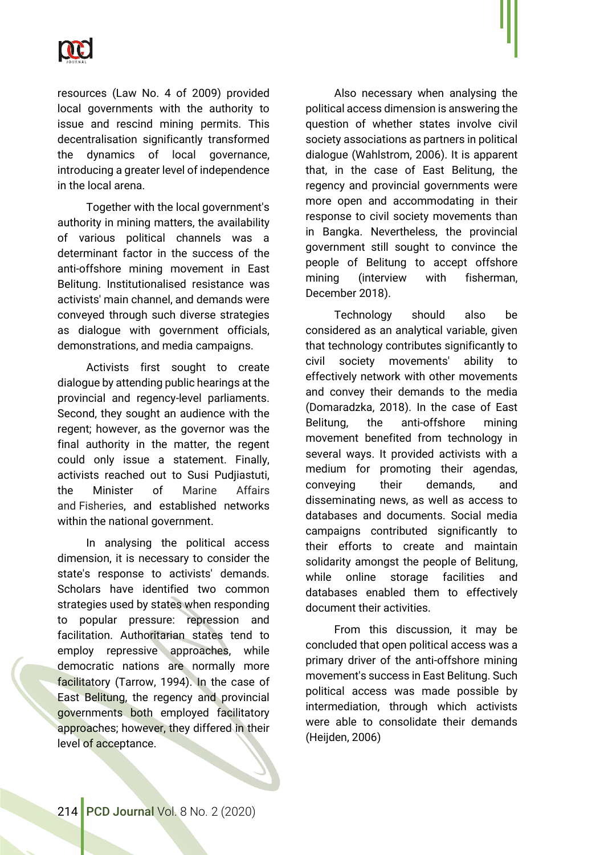

resources (Law No. 4 of 2009) provided local governments with the authority to issue and rescind mining permits. This decentralisation significantly transformed the dynamics of local governance, introducing a greater level of independence in the local arena.

Together with the local government's authority in mining matters, the availability of various political channels was a determinant factor in the success of the anti-offshore mining movement in East Belitung. Institutionalised resistance was activists' main channel, and demands were conveyed through such diverse strategies as dialogue with government officials, demonstrations, and media campaigns.

Activists first sought to create dialogue by attending public hearings at the provincial and regency-level parliaments. Second, they sought an audience with the regent; however, as the governor was the final authority in the matter, the regent could only issue a statement. Finally, activists reached out to Susi Pudjiastuti, the Minister of Marine Affairs and Fisheries, and established networks within the national government.

In analysing the political access dimension, it is necessary to consider the state's response to activists' demands. Scholars have identified two common strategies used by states when responding to popular pressure: repression and facilitation. Authoritarian states tend to employ repressive approaches, while democratic nations are normally more facilitatory (Tarrow, 1994). In the case of East Belitung, the regency and provincial governments both employed facilitatory approaches; however, they differed in their level of acceptance.

Also necessary when analysing the political access dimension is answering the question of whether states involve civil society associations as partners in political dialogue (Wahlstrom, 2006). It is apparent that, in the case of East Belitung, the regency and provincial governments were more open and accommodating in their response to civil society movements than in Bangka. Nevertheless, the provincial government still sought to convince the people of Belitung to accept offshore mining (interview with fisherman, December 2018).

Technology should also be considered as an analytical variable, given that technology contributes significantly to civil society movements' ability to effectively network with other movements and convey their demands to the media (Domaradzka, 2018). In the case of East Belitung, the anti-offshore mining movement benefited from technology in several ways. It provided activists with a medium for promoting their agendas, conveying their demands, and disseminating news, as well as access to databases and documents. Social media campaigns contributed significantly to their efforts to create and maintain solidarity amongst the people of Belitung, while online storage facilities and databases enabled them to effectively document their activities.

From this discussion, it may be concluded that open political access was a primary driver of the anti-offshore mining movement's success in East Belitung. Such political access was made possible by intermediation, through which activists were able to consolidate their demands (Heijden, 2006)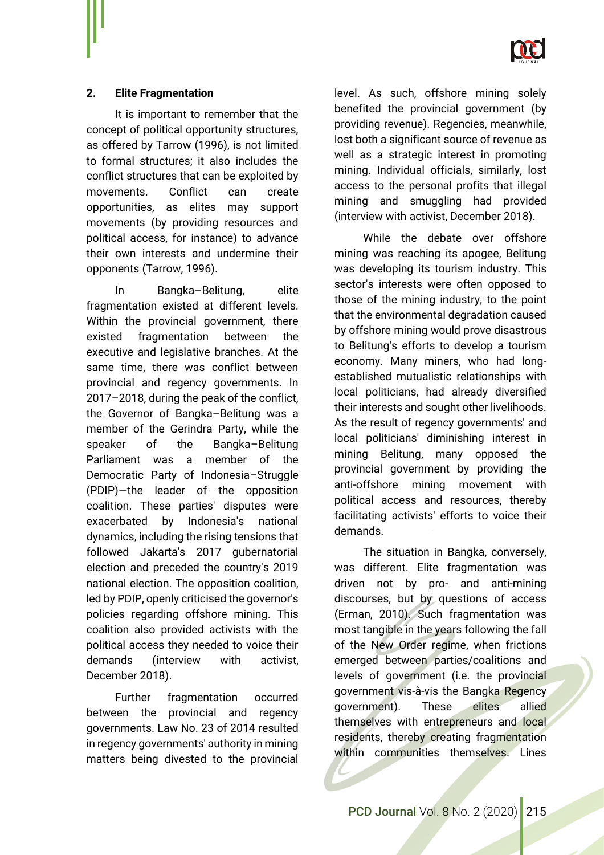

## **2. Elite Fragmentation**

It is important to remember that the concept of political opportunity structures, as offered by Tarrow (1996), is not limited to formal structures; it also includes the conflict structures that can be exploited by movements. Conflict can create opportunities, as elites may support movements (by providing resources and political access, for instance) to advance their own interests and undermine their opponents (Tarrow, 1996).

In Bangka–Belitung, elite fragmentation existed at different levels. Within the provincial government, there existed fragmentation between the executive and legislative branches. At the same time, there was conflict between provincial and regency governments. In 2017–2018, during the peak of the conflict, the Governor of Bangka–Belitung was a member of the Gerindra Party, while the speaker of the Bangka–Belitung Parliament was a member of the Democratic Party of Indonesia–Struggle (PDIP)—the leader of the opposition coalition. These parties' disputes were exacerbated by Indonesia's national dynamics, including the rising tensions that followed Jakarta's 2017 gubernatorial election and preceded the country's 2019 national election. The opposition coalition, led by PDIP, openly criticised the governor's policies regarding offshore mining. This coalition also provided activists with the political access they needed to voice their demands (interview with activist, December 2018).

Further fragmentation occurred between the provincial and regency governments. Law No. 23 of 2014 resulted in regency governments' authority in mining matters being divested to the provincial level. As such, offshore mining solely benefited the provincial government (by providing revenue). Regencies, meanwhile, lost both a significant source of revenue as well as a strategic interest in promoting mining. Individual officials, similarly, lost access to the personal profits that illegal mining and smuggling had provided (interview with activist, December 2018).

While the debate over offshore mining was reaching its apogee, Belitung was developing its tourism industry. This sector's interests were often opposed to those of the mining industry, to the point that the environmental degradation caused by offshore mining would prove disastrous to Belitung's efforts to develop a tourism economy. Many miners, who had longestablished mutualistic relationships with local politicians, had already diversified their interests and sought other livelihoods. As the result of regency governments' and local politicians' diminishing interest in mining Belitung, many opposed the provincial government by providing the anti-offshore mining movement with political access and resources, thereby facilitating activists' efforts to voice their demands.

The situation in Bangka, conversely, was different. Elite fragmentation was driven not by pro- and anti-mining discourses, but by questions of access (Erman, 2010). Such fragmentation was most tangible in the years following the fall of the New Order regime, when frictions emerged between parties/coalitions and levels of government (i.e. the provincial government vis-à-vis the Bangka Regency government). These elites allied themselves with entrepreneurs and local residents, thereby creating fragmentation within communities themselves. Lines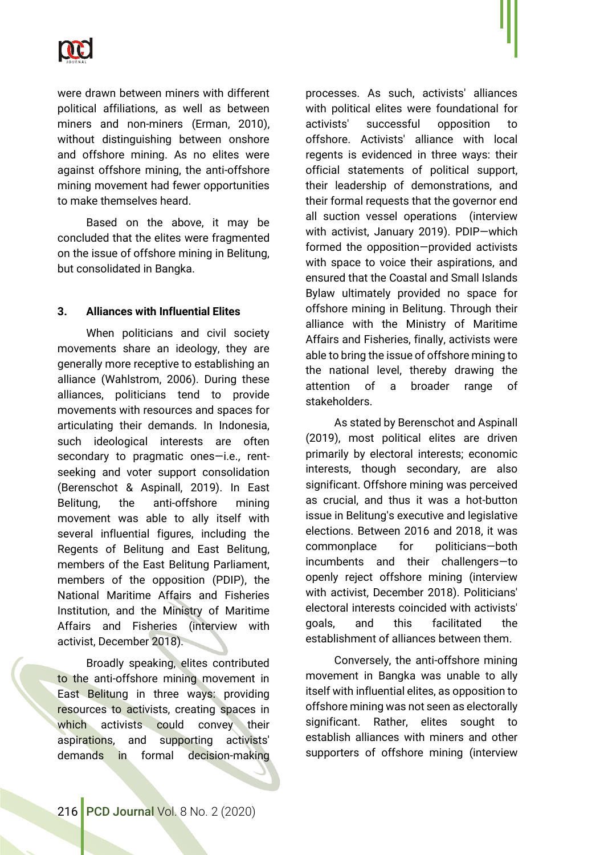

were drawn between miners with different political affiliations, as well as between miners and non-miners (Erman, 2010), without distinguishing between onshore and offshore mining. As no elites were against offshore mining, the anti-offshore mining movement had fewer opportunities to make themselves heard.

Based on the above, it may be concluded that the elites were fragmented on the issue of offshore mining in Belitung, but consolidated in Bangka.

## **3. Alliances with Influential Elites**

When politicians and civil society movements share an ideology, they are generally more receptive to establishing an alliance (Wahlstrom, 2006). During these alliances, politicians tend to provide movements with resources and spaces for articulating their demands. In Indonesia, such ideological interests are often secondary to pragmatic ones—i.e., rentseeking and voter support consolidation (Berenschot & Aspinall, 2019). In East Belitung, the anti-offshore mining movement was able to ally itself with several influential figures, including the Regents of Belitung and East Belitung, members of the East Belitung Parliament, members of the opposition (PDIP), the National Maritime Affairs and Fisheries Institution, and the Ministry of Maritime Affairs and Fisheries (interview with activist, December 2018).

Broadly speaking, elites contributed to the anti-offshore mining movement in East Belitung in three ways: providing resources to activists, creating spaces in which activists could convey their aspirations, and supporting activists' demands in formal decision-making

processes. As such, activists' alliances with political elites were foundational for activists' successful opposition to offshore. Activists' alliance with local regents is evidenced in three ways: their official statements of political support, their leadership of demonstrations, and their formal requests that the governor end all suction vessel operations (interview with activist, January 2019). PDIP—which formed the opposition—provided activists with space to voice their aspirations, and ensured that the Coastal and Small Islands Bylaw ultimately provided no space for offshore mining in Belitung. Through their alliance with the Ministry of Maritime Affairs and Fisheries, finally, activists were able to bring the issue of offshore mining to the national level, thereby drawing the attention of a broader range of stakeholders.

As stated by Berenschot and Aspinall (2019), most political elites are driven primarily by electoral interests; economic interests, though secondary, are also significant. Offshore mining was perceived as crucial, and thus it was a hot-button issue in Belitung's executive and legislative elections. Between 2016 and 2018, it was commonplace for politicians—both incumbents and their challengers—to openly reject offshore mining (interview with activist, December 2018). Politicians' electoral interests coincided with activists' goals, and this facilitated the establishment of alliances between them.

Conversely, the anti-offshore mining movement in Bangka was unable to ally itself with influential elites, as opposition to offshore mining was not seen as electorally significant. Rather, elites sought to establish alliances with miners and other supporters of offshore mining (interview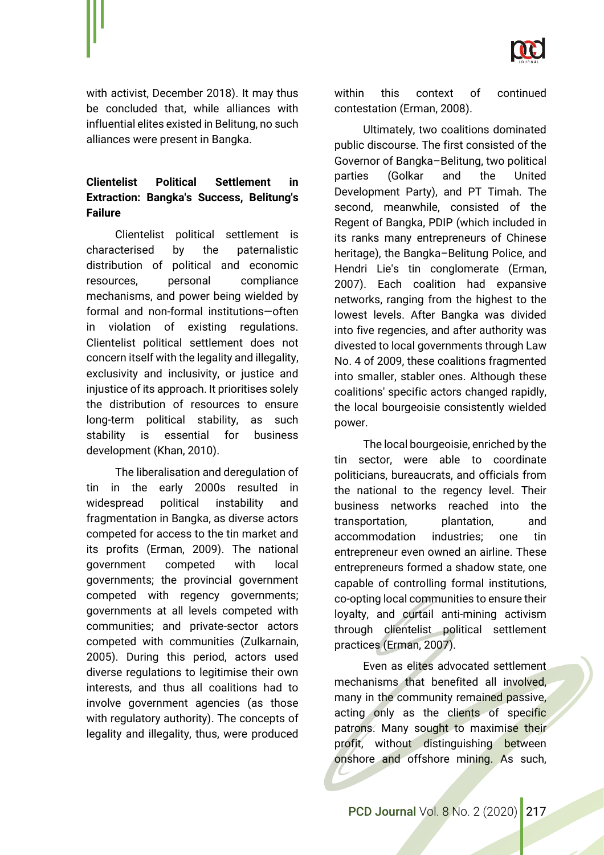

with activist, December 2018). It may thus be concluded that, while alliances with influential elites existed in Belitung, no such alliances were present in Bangka.

# **Clientelist Political Settlement in Extraction: Bangka's Success, Belitung's Failure**

Clientelist political settlement is characterised by the paternalistic distribution of political and economic resources, personal compliance mechanisms, and power being wielded by formal and non-formal institutions—often in violation of existing regulations. Clientelist political settlement does not concern itself with the legality and illegality, exclusivity and inclusivity, or justice and injustice of its approach. It prioritises solely the distribution of resources to ensure long-term political stability, as such stability is essential for business development (Khan, 2010).

The liberalisation and deregulation of tin in the early 2000s resulted in widespread political instability and fragmentation in Bangka, as diverse actors competed for access to the tin market and its profits (Erman, 2009). The national government competed with local governments; the provincial government competed with regency governments; governments at all levels competed with communities; and private-sector actors competed with communities (Zulkarnain, 2005). During this period, actors used diverse regulations to legitimise their own interests, and thus all coalitions had to involve government agencies (as those with regulatory authority). The concepts of legality and illegality, thus, were produced

within this context of continued contestation (Erman, 2008).

Ultimately, two coalitions dominated public discourse. The first consisted of the Governor of Bangka–Belitung, two political parties (Golkar and the United Development Party), and PT Timah. The second, meanwhile, consisted of the Regent of Bangka, PDIP (which included in its ranks many entrepreneurs of Chinese heritage), the Bangka–Belitung Police, and Hendri Lie's tin conglomerate (Erman, 2007). Each coalition had expansive networks, ranging from the highest to the lowest levels. After Bangka was divided into five regencies, and after authority was divested to local governments through Law No. 4 of 2009, these coalitions fragmented into smaller, stabler ones. Although these coalitions' specific actors changed rapidly, the local bourgeoisie consistently wielded power.

The local bourgeoisie, enriched by the tin sector, were able to coordinate politicians, bureaucrats, and officials from the national to the regency level. Their business networks reached into the transportation, plantation, and accommodation industries; one tin entrepreneur even owned an airline. These entrepreneurs formed a shadow state, one capable of controlling formal institutions, co-opting local communities to ensure their loyalty, and curtail anti-mining activism through clientelist political settlement practices (Erman, 2007).

Even as elites advocated settlement mechanisms that benefited all involved, many in the community remained passive, acting only as the clients of specific patrons. Many sought to maximise their profit, without distinguishing between onshore and offshore mining. As such,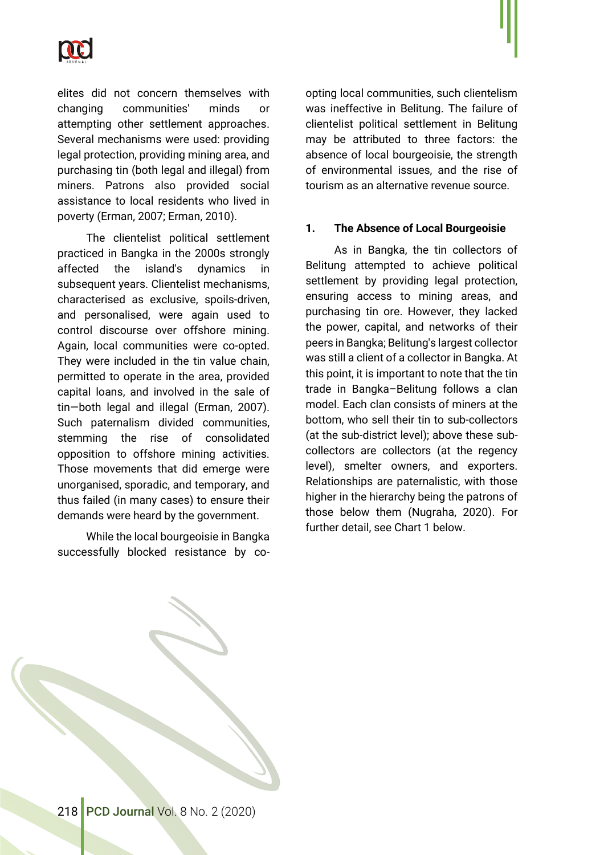

elites did not concern themselves with changing communities' minds or attempting other settlement approaches. Several mechanisms were used: providing legal protection, providing mining area, and purchasing tin (both legal and illegal) from miners. Patrons also provided social assistance to local residents who lived in poverty (Erman, 2007; Erman, 2010).

The clientelist political settlement practiced in Bangka in the 2000s strongly affected the island's dynamics in subsequent years. Clientelist mechanisms, characterised as exclusive, spoils-driven, and personalised, were again used to control discourse over offshore mining. Again, local communities were co-opted. They were included in the tin value chain, permitted to operate in the area, provided capital loans, and involved in the sale of tin—both legal and illegal (Erman, 2007). Such paternalism divided communities, stemming the rise of consolidated opposition to offshore mining activities. Those movements that did emerge were unorganised, sporadic, and temporary, and thus failed (in many cases) to ensure their demands were heard by the government.

While the local bourgeoisie in Bangka successfully blocked resistance by coopting local communities, such clientelism was ineffective in Belitung. The failure of clientelist political settlement in Belitung may be attributed to three factors: the absence of local bourgeoisie, the strength of environmental issues, and the rise of tourism as an alternative revenue source.

#### **1. The Absence of Local Bourgeoisie**

As in Bangka, the tin collectors of Belitung attempted to achieve political settlement by providing legal protection, ensuring access to mining areas, and purchasing tin ore. However, they lacked the power, capital, and networks of their peers in Bangka; Belitung's largest collector was still a client of a collector in Bangka. At this point, it is important to note that the tin trade in Bangka–Belitung follows a clan model. Each clan consists of miners at the bottom, who sell their tin to sub-collectors (at the sub-district level); above these subcollectors are collectors (at the regency level), smelter owners, and exporters. Relationships are paternalistic, with those higher in the hierarchy being the patrons of those below them (Nugraha, 2020). For further detail, see Chart 1 below.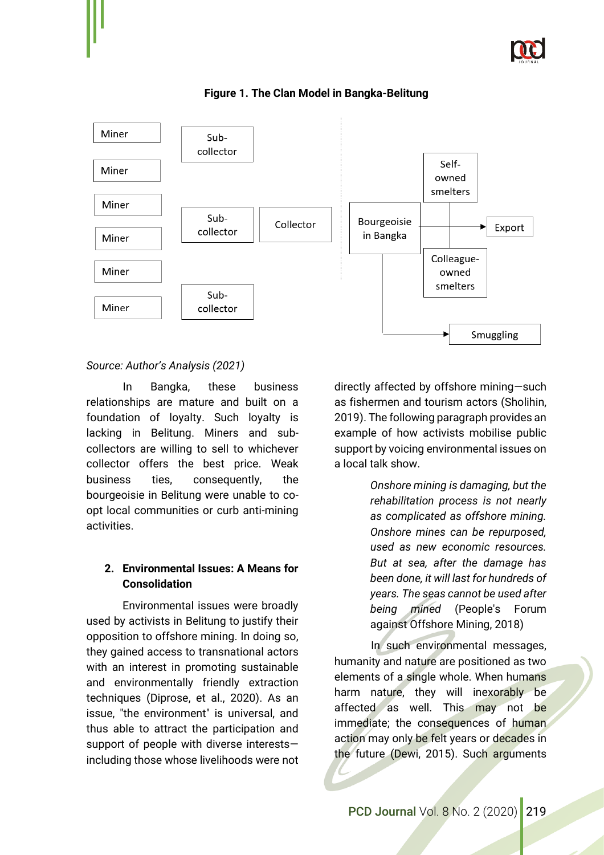



**Figure 1. The Clan Model in Bangka-Belitung**

## *Source: Author's Analysis (2021)*

In Bangka, these business relationships are mature and built on a foundation of loyalty. Such loyalty is lacking in Belitung. Miners and subcollectors are willing to sell to whichever collector offers the best price. Weak business ties, consequently, the bourgeoisie in Belitung were unable to coopt local communities or curb anti-mining activities.

## **2. Environmental Issues: A Means for Consolidation**

Environmental issues were broadly used by activists in Belitung to justify their opposition to offshore mining. In doing so, they gained access to transnational actors with an interest in promoting sustainable and environmentally friendly extraction techniques (Diprose, et al., 2020). As an issue, "the environment" is universal, and thus able to attract the participation and support of people with diverse interests including those whose livelihoods were not directly affected by offshore mining—such as fishermen and tourism actors (Sholihin, 2019). The following paragraph provides an example of how activists mobilise public support by voicing environmental issues on a local talk show.

> *Onshore mining is damaging, but the rehabilitation process is not nearly as complicated as offshore mining. Onshore mines can be repurposed, used as new economic resources. But at sea, after the damage has been done, it will last for hundreds of years. The seas cannot be used after being mined* (People's Forum against Offshore Mining, 2018)

In such environmental messages, humanity and nature are positioned as two elements of a single whole. When humans harm nature, they will inexorably be affected as well. This may not be immediate; the consequences of human action may only be felt years or decades in the future (Dewi, 2015). Such arguments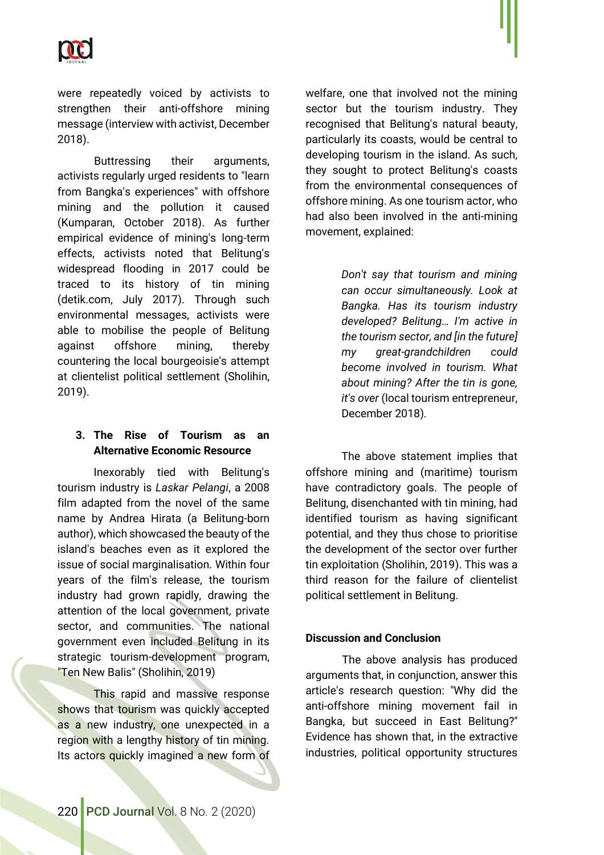

were repeatedly voiced by activists to strengthen their anti-offshore mining message (interview with activist, December 2018).

Buttressing their arguments, activists regularly urged residents to "learn from Bangka's experiences" with offshore mining and the pollution it caused (Kumparan, October 2018). As further empirical evidence of mining's long-term effects, activists noted that Belitung's widespread flooding in 2017 could be traced to its history of tin mining (detik.com, July 2017). Through such environmental messages, activists were able to mobilise the people of Belitung against offshore mining, thereby countering the local bourgeoisie's attempt at clientelist political settlement (Sholihin, 2019).

## **3. The Rise of Tourism as an Alternative Economic Resource**

Inexorably tied with Belitung's tourism industry is *Laskar Pelangi*, a 2008 film adapted from the novel of the same name by Andrea Hirata (a Belitung-born author), which showcased the beauty of the island's beaches even as it explored the issue of social marginalisation. Within four years of the film's release, the tourism industry had grown rapidly, drawing the attention of the local government, private sector, and communities. The national government even included Belitung in its strategic tourism-development program, "Ten New Balis" (Sholihin, 2019)

This rapid and massive response shows that tourism was quickly accepted as a new industry, one unexpected in a region with a lengthy history of tin mining. Its actors quickly imagined a new form of welfare, one that involved not the mining sector but the tourism industry. They recognised that Belitung's natural beauty, particularly its coasts, would be central to developing tourism in the island. As such, they sought to protect Belitung's coasts from the environmental consequences of offshore mining. As one tourism actor, who had also been involved in the anti-mining movement, explained:

> *Don't say that tourism and mining can occur simultaneously. Look at Bangka. Has its tourism industry developed? Belitung… I'm active in the tourism sector, and [in the future] my great-grandchildren could become involved in tourism. What about mining? After the tin is gone, it's over* (local tourism entrepreneur, December 2018)*.*

The above statement implies that offshore mining and (maritime) tourism have contradictory goals. The people of Belitung, disenchanted with tin mining, had identified tourism as having significant potential, and they thus chose to prioritise the development of the sector over further tin exploitation (Sholihin, 2019). This was a third reason for the failure of clientelist political settlement in Belitung.

#### **Discussion and Conclusion**

The above analysis has produced arguments that, in conjunction, answer this article's research question: "Why did the anti-offshore mining movement fail in Bangka, but succeed in East Belitung?" Evidence has shown that, in the extractive industries, political opportunity structures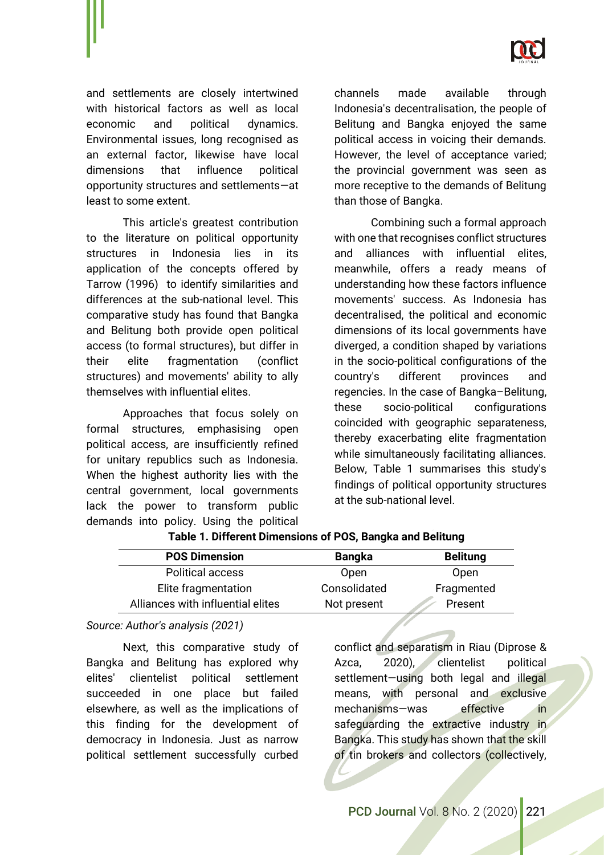

and settlements are closely intertwined with historical factors as well as local economic and political dynamics. Environmental issues, long recognised as an external factor, likewise have local dimensions that influence political opportunity structures and settlements—at least to some extent.

This article's greatest contribution to the literature on political opportunity structures in Indonesia lies in its application of the concepts offered by Tarrow (1996) to identify similarities and differences at the sub-national level. This comparative study has found that Bangka and Belitung both provide open political access (to formal structures), but differ in their elite fragmentation (conflict structures) and movements' ability to ally themselves with influential elites.

Approaches that focus solely on formal structures, emphasising open political access, are insufficiently refined for unitary republics such as Indonesia. When the highest authority lies with the central government, local governments lack the power to transform public demands into policy. Using the political channels made available through Indonesia's decentralisation, the people of Belitung and Bangka enjoyed the same political access in voicing their demands. However, the level of acceptance varied; the provincial government was seen as more receptive to the demands of Belitung than those of Bangka.

Combining such a formal approach with one that recognises conflict structures and alliances with influential elites, meanwhile, offers a ready means of understanding how these factors influence movements' success. As Indonesia has decentralised, the political and economic dimensions of its local governments have diverged, a condition shaped by variations in the socio-political configurations of the country's different provinces and regencies. In the case of Bangka–Belitung, these socio-political configurations coincided with geographic separateness, thereby exacerbating elite fragmentation while simultaneously facilitating alliances. Below, Table 1 summarises this study's findings of political opportunity structures at the sub-national level.

| <b>Bangka</b> | <b>Belitung</b> |
|---------------|-----------------|
| Open          | Open            |
| Consolidated  | Fragmented      |
| Not present   | Present         |
|               |                 |

#### **Table 1. Different Dimensions of POS, Bangka and Belitung**

*Source: Author's analysis (2021)*

Next, this comparative study of Bangka and Belitung has explored why elites' clientelist political settlement succeeded in one place but failed elsewhere, as well as the implications of this finding for the development of democracy in Indonesia. Just as narrow political settlement successfully curbed conflict and separatism in Riau (Diprose & Azca, 2020), clientelist political settlement-using both legal and illegal means, with personal and exclusive mechanisms—was effective in safeguarding the extractive industry in Bangka. This study has shown that the skill of tin brokers and collectors (collectively,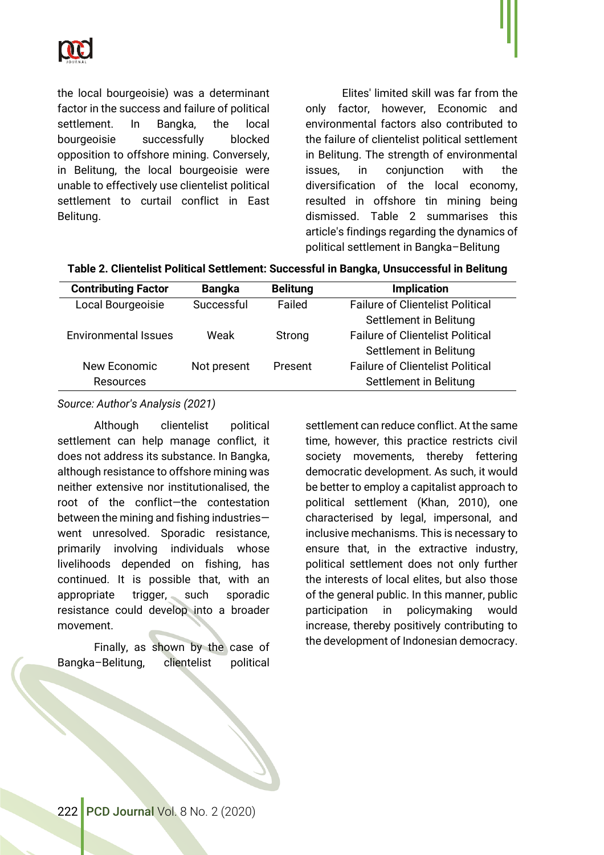

the local bourgeoisie) was a determinant factor in the success and failure of political settlement. In Bangka, the local bourgeoisie successfully blocked opposition to offshore mining. Conversely, in Belitung, the local bourgeoisie were unable to effectively use clientelist political settlement to curtail conflict in East Belitung.

Elites' limited skill was far from the only factor, however, Economic and environmental factors also contributed to the failure of clientelist political settlement in Belitung. The strength of environmental issues, in conjunction with the diversification of the local economy, resulted in offshore tin mining being dismissed. Table 2 summarises this article's findings regarding the dynamics of political settlement in Bangka–Belitung

| Table 2. Clientelist Political Settlement: Successful in Bangka, Unsuccessful in Belitung |  |  |
|-------------------------------------------------------------------------------------------|--|--|
|-------------------------------------------------------------------------------------------|--|--|

| <b>Contributing Factor</b>  | <b>Bangka</b> | <b>Belitung</b> | <b>Implication</b>                      |
|-----------------------------|---------------|-----------------|-----------------------------------------|
| Local Bourgeoisie           | Successful    | Failed          | <b>Failure of Clientelist Political</b> |
|                             |               |                 | Settlement in Belitung                  |
| <b>Environmental Issues</b> | Weak          | Strong          | <b>Failure of Clientelist Political</b> |
|                             |               |                 | Settlement in Belitung                  |
| New Economic                | Not present   | Present         | <b>Failure of Clientelist Political</b> |
| Resources                   |               |                 | Settlement in Belitung                  |

#### *Source: Author's Analysis (2021)*

Although clientelist political settlement can help manage conflict, it does not address its substance. In Bangka, although resistance to offshore mining was neither extensive nor institutionalised, the root of the conflict—the contestation between the mining and fishing industries went unresolved. Sporadic resistance, primarily involving individuals whose livelihoods depended on fishing, has continued. It is possible that, with an appropriate trigger, such sporadic resistance could develop into a broader movement.

Finally, as shown by the case of Bangka–Belitung, clientelist political

settlement can reduce conflict. At the same time, however, this practice restricts civil society movements, thereby fettering democratic development. As such, it would be better to employ a capitalist approach to political settlement (Khan, 2010), one characterised by legal, impersonal, and inclusive mechanisms. This is necessary to ensure that, in the extractive industry, political settlement does not only further the interests of local elites, but also those of the general public. In this manner, public participation in policymaking would increase, thereby positively contributing to the development of Indonesian democracy.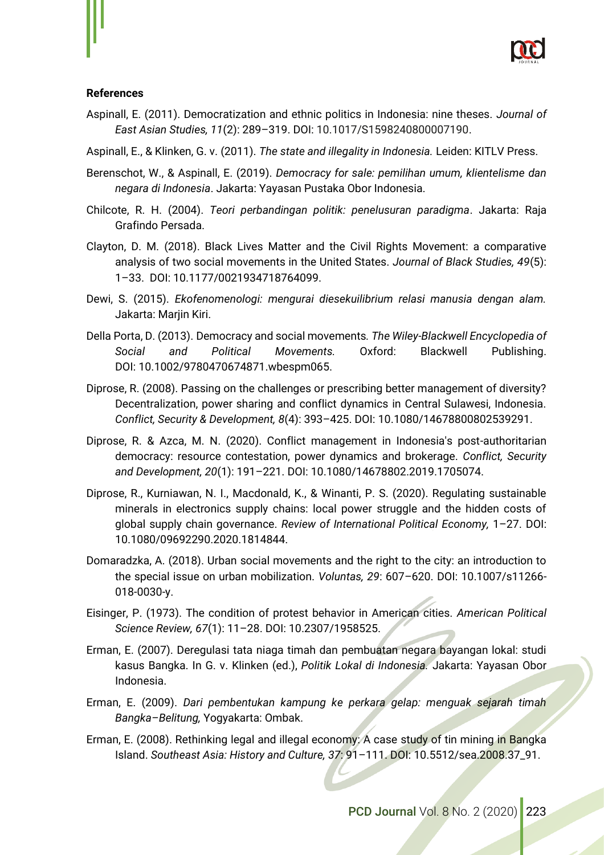

#### **References**

- Aspinall, E. (2011). Democratization and ethnic politics in Indonesia: nine theses. *Journal of East Asian Studies, 11*(2): 289–319. DOI: 10.1017/S1598240800007190.
- Aspinall, E., & Klinken, G. v. (2011). *The state and illegality in Indonesia.* Leiden: KITLV Press.
- Berenschot, W., & Aspinall, E. (2019). *Democracy for sale: pemilihan umum, klientelisme dan negara di Indonesia*. Jakarta: Yayasan Pustaka Obor Indonesia.
- Chilcote, R. H. (2004). *Teori perbandingan politik: penelusuran paradigma*. Jakarta: Raja Grafindo Persada.
- Clayton, D. M. (2018). Black Lives Matter and the Civil Rights Movement: a comparative analysis of two social movements in the United States. *Journal of Black Studies, 49*(5): 1–33. DOI: 10.1177/0021934718764099.
- Dewi, S. (2015). *Ekofenomenologi: mengurai diesekuilibrium relasi manusia dengan alam.* Jakarta: Marjin Kiri.
- Della Porta, D. (2013). Democracy and social movements*. The Wiley-Blackwell Encyclopedia of Social and Political Movements.* Oxford: Blackwell Publishing. DOI: 10.1002/9780470674871.wbespm065.
- Diprose, R. (2008). Passing on the challenges or prescribing better management of diversity? Decentralization, power sharing and conflict dynamics in Central Sulawesi, Indonesia. *Conflict, Security & Development, 8*(4): 393–425. DOI: 10.1080/14678800802539291.
- Diprose, R. & Azca, M. N. (2020). Conflict management in Indonesia's post-authoritarian democracy: resource contestation, power dynamics and brokerage. *Conflict, Security and Development, 20*(1): 191–221. DOI: 10.1080/14678802.2019.1705074.
- Diprose, R., Kurniawan, N. I., Macdonald, K., & Winanti, P. S. (2020). Regulating sustainable minerals in electronics supply chains: local power struggle and the hidden costs of global supply chain governance. *Review of International Political Economy,* 1–27. DOI: 10.1080/09692290.2020.1814844.
- Domaradzka, A. (2018). Urban social movements and the right to the city: an introduction to the special issue on urban mobilization. *Voluntas, 29*: 607–620. DOI: 10.1007/s11266- 018-0030-y.
- Eisinger, P. (1973). The condition of protest behavior in American cities. *American Political Science Review, 67*(1): 11–28. DOI: 10.2307/1958525.
- Erman, E. (2007). Deregulasi tata niaga timah dan pembuatan negara bayangan lokal: studi kasus Bangka. In G. v. Klinken (ed.), *Politik Lokal di Indonesia.* Jakarta: Yayasan Obor Indonesia.
- Erman, E. (2009). *Dari pembentukan kampung ke perkara gelap: menguak sejarah timah Bangka–Belitung,* Yogyakarta: Ombak.
- Erman, E. (2008). Rethinking legal and illegal economy: A case study of tin mining in Bangka Island. *Southeast Asia: History and Culture, 37*: 91–111. DOI: 10.5512/sea.2008.37\_91.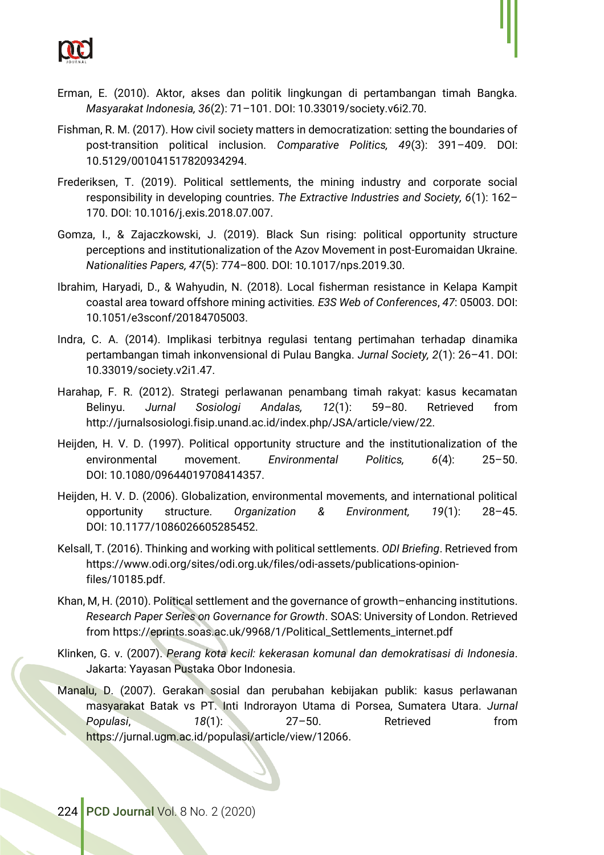

- Fishman, R. M. (2017). How civil society matters in democratization: setting the boundaries of post-transition political inclusion. *Comparative Politics, 49*(3): 391–409. DOI: 10.5129/001041517820934294.
- Frederiksen, T. (2019). Political settlements, the mining industry and corporate social responsibility in developing countries. *The Extractive Industries and Society, 6*(1): 162– 170. DOI: 10.1016/j.exis.2018.07.007.
- Gomza, I., & Zajaczkowski, J. (2019). Black Sun rising: political opportunity structure perceptions and institutionalization of the Azov Movement in post-Euromaidan Ukraine. *Nationalities Papers, 47*(5): 774–800. DOI: 10.1017/nps.2019.30.
- Ibrahim, Haryadi, D., & Wahyudin, N. (2018). Local fisherman resistance in Kelapa Kampit coastal area toward offshore mining activities*. E3S Web of Conferences*, *47*: 05003. DOI: 10.1051/e3sconf/20184705003.
- Indra, C. A. (2014). Implikasi terbitnya regulasi tentang pertimahan terhadap dinamika pertambangan timah inkonvensional di Pulau Bangka. *Jurnal Society, 2*(1): 26–41. DOI: 10.33019/society.v2i1.47.
- Harahap, F. R. (2012). Strategi perlawanan penambang timah rakyat: kasus kecamatan Belinyu. *Jurnal Sosiologi Andalas, 12*(1): 59–80. Retrieved from http://jurnalsosiologi.fisip.unand.ac.id/index.php/JSA/article/view/22.
- Heijden, H. V. D. (1997). Political opportunity structure and the institutionalization of the environmental movement. *Environmental Politics, 6*(4): 25–50. DOI: 10.1080/09644019708414357.
- Heijden, H. V. D. (2006). Globalization, environmental movements, and international political opportunity structure. *Organization & Environment, 19*(1): 28–45. DOI: 10.1177/1086026605285452.
- Kelsall, T. (2016). Thinking and working with political settlements. *ODI Briefing*. Retrieved from https://www.odi.org/sites/odi.org.uk/files/odi-assets/publications-opinionfiles/10185.pdf.
- Khan, M, H. (2010). Political settlement and the governance of growth–enhancing institutions. *Research Paper Series on Governance for Growth*. SOAS: University of London. Retrieved from https://eprints.soas.ac.uk/9968/1/Political\_Settlements\_internet.pdf
- Klinken, G. v. (2007). *Perang kota kecil: kekerasan komunal dan demokratisasi di Indonesia*. Jakarta: Yayasan Pustaka Obor Indonesia.
- Manalu, D. (2007). Gerakan sosial dan perubahan kebijakan publik: kasus perlawanan masyarakat Batak vs PT. Inti Indrorayon Utama di Porsea, Sumatera Utara. *Jurnal Populasi*, *18*(1): 27–50. Retrieved from [https://jurnal.ugm.ac.id/populasi/article/view/12066.](https://jurnal.ugm.ac.id/populasi/article/view/12066)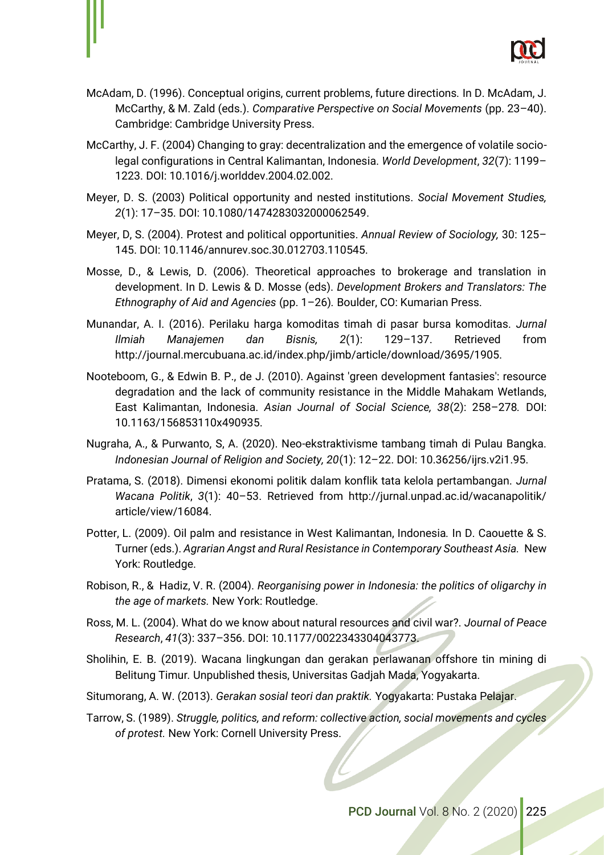

- McAdam, D. (1996). Conceptual origins, current problems, future directions*.* In D. McAdam, J. McCarthy, & M. Zald (eds.). *Comparative Perspective on Social Movements* (pp. 23–40). Cambridge: Cambridge University Press.
- McCarthy, J. F. (2004) Changing to gray: decentralization and the emergence of volatile sociolegal configurations in Central Kalimantan, Indonesia. *World Development*, *32*(7): 1199– 1223. DOI: 10.1016/j.worlddev.2004.02.002.
- Meyer, D. S. (2003) Political opportunity and nested institutions. *Social Movement Studies, 2*(1): 17–35. DOI: 10.1080/1474283032000062549.
- Meyer, D, S. (2004). Protest and political opportunities. *Annual Review of Sociology,* 30: 125– 145. DOI: 10.1146/annurev.soc.30.012703.110545.
- Mosse, D., & Lewis, D. (2006). Theoretical approaches to brokerage and translation in development. In D. Lewis & D. Mosse (eds). *Development Brokers and Translators: The Ethnography of Aid and Agencies* (pp. 1–26)*.* Boulder, CO: Kumarian Press.
- Munandar, A. I. (2016). Perilaku harga komoditas timah di pasar bursa komoditas. *Jurnal Ilmiah Manajemen dan Bisnis, 2*(1): 129–137. Retrieved from http://journal.mercubuana.ac.id/index.php/jimb/article/download/3695/1905.
- Nooteboom, G., & Edwin B. P., de J. (2010). Against 'green development fantasies': resource degradation and the lack of community resistance in the Middle Mahakam Wetlands, East Kalimantan, Indonesia. *Asian Journal of Social Science, 38*(2): 258–278*.* DOI: 10.1163/156853110x490935.
- Nugraha, A., & Purwanto, S, A. (2020). Neo-ekstraktivisme tambang timah di Pulau Bangka. *Indonesian Journal of Religion and Society, 20*(1): 12–22. DOI: 10.36256/ijrs.v2i1.95.
- Pratama, S. (2018). Dimensi ekonomi politik dalam konflik tata kelola pertambangan. *Jurnal Wacana Politik*, *3*(1): 40–53. Retrieved from http://jurnal.unpad.ac.id/wacanapolitik/ article/view/16084.
- Potter, L. (2009). Oil palm and resistance in West Kalimantan, Indonesia*.* In D. Caouette & S. Turner (eds.). *Agrarian Angst and Rural Resistance in Contemporary Southeast Asia.* New York: Routledge.
- Robison, R., & Hadiz, V. R. (2004). *Reorganising power in Indonesia: the politics of oligarchy in the age of markets.* New York: Routledge.
- Ross, M. L. (2004). What do we know about natural resources and civil war?. *Journal of Peace Research*, *41*(3): 337–356. DOI: 10.1177/0022343304043773.
- Sholihin, E. B. (2019). Wacana lingkungan dan gerakan perlawanan offshore tin mining di Belitung Timur*.* Unpublished thesis, Universitas Gadjah Mada, Yogyakarta.
- Situmorang, A. W. (2013). *Gerakan sosial teori dan praktik.* Yogyakarta: Pustaka Pelajar.
- Tarrow, S. (1989). *Struggle, politics, and reform: collective action, social movements and cycles of protest.* New York: Cornell University Press.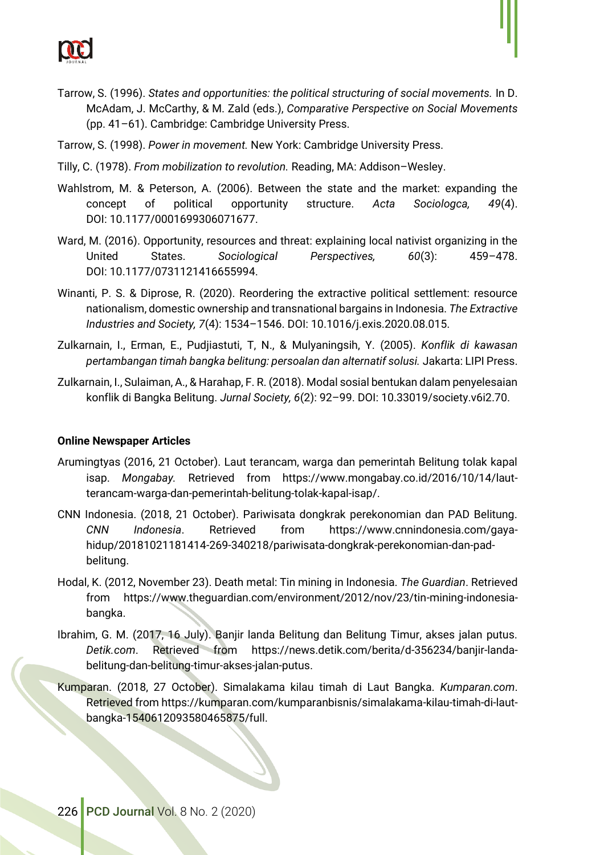

- Tarrow, S. (1996). *States and opportunities: the political structuring of social movements.* In D. McAdam, J. McCarthy, & M. Zald (eds.), *Comparative Perspective on Social Movements*  (pp. 41–61). Cambridge: Cambridge University Press.
- Tarrow, S. (1998). *Power in movement.* New York: Cambridge University Press.
- Tilly, C. (1978). *From mobilization to revolution.* Reading, MA: Addison–Wesley.
- Wahlstrom, M. & Peterson, A. (2006). Between the state and the market: expanding the concept of political opportunity structure. *Acta Sociologca, 49*(4). DOI: 10.1177/0001699306071677.
- Ward, M. (2016). Opportunity, resources and threat: explaining local nativist organizing in the United States. *Sociological Perspectives, 60*(3): 459–478. DOI: 10.1177/0731121416655994.
- Winanti, P. S. & Diprose, R. (2020). Reordering the extractive political settlement: resource nationalism, domestic ownership and transnational bargains in Indonesia. *The Extractive Industries and Society, 7*(4): 1534–1546. DOI: 10.1016/j.exis.2020.08.015.
- Zulkarnain, I., Erman, E., Pudjiastuti, T, N., & Mulyaningsih, Y. (2005). *Konflik di kawasan pertambangan timah bangka belitung: persoalan dan alternatif solusi.* Jakarta: LIPI Press.
- Zulkarnain, I., Sulaiman, A., & Harahap, F. R. (2018). Modal sosial bentukan dalam penyelesaian konflik di Bangka Belitung. *Jurnal Society, 6*(2): 92–99. DOI: 10.33019/society.v6i2.70.

#### **Online Newspaper Articles**

- Arumingtyas (2016, 21 October). Laut terancam, warga dan pemerintah Belitung tolak kapal isap. *Mongabay.* Retrieved from https://www.mongabay.co.id/2016/10/14/lautterancam-warga-dan-pemerintah-belitung-tolak-kapal-isap/.
- CNN Indonesia. (2018, 21 October). Pariwisata dongkrak perekonomian dan PAD Belitung. *CNN Indonesia*. Retrieved from https://www.cnnindonesia.com/gayahidup/20181021181414-269-340218/pariwisata-dongkrak-perekonomian-dan-padbelitung.
- Hodal, K. (2012, November 23). Death metal: Tin mining in Indonesia. *The Guardian*. Retrieved from https://www.theguardian.com/environment/2012/nov/23/tin-mining-indonesiabangka.
- Ibrahim, G. M. (2017, 16 July). Banjir landa Belitung dan Belitung Timur, akses jalan putus. *Detik.com*. Retrieved from https://news.detik.com/berita/d-356234/banjir-landabelitung-dan-belitung-timur-akses-jalan-putus.
- Kumparan. (2018, 27 October). Simalakama kilau timah di Laut Bangka. *Kumparan.com*. Retrieved from https://kumparan.com/kumparanbisnis/simalakama-kilau-timah-di-lautbangka-1540612093580465875/full.